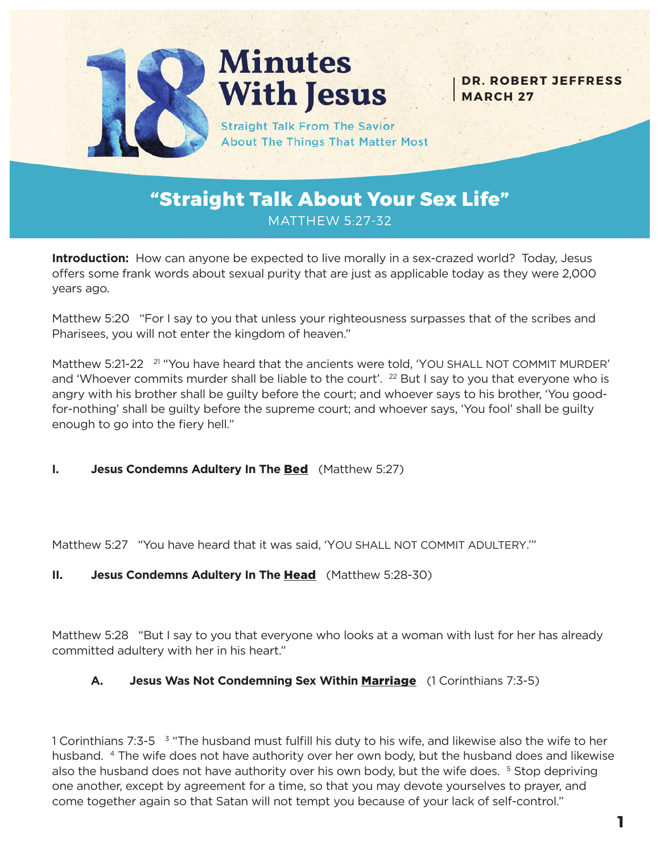

# **Minutes With Jesus**

**Straight Talk From The Savior About The Things That Matter Most** 

**DR. ROBERT JEFFRESS MARCH 27**

## **"Straight Talk About Your Sex Life"** MATTHEW 5:27-32

**Introduction:** How can anyone be expected to live morally in a sex-crazed world? Today, Jesus offers some frank words about sexual purity that are just as applicable today as they were 2,000 years ago.

Matthew 5:20 "For I say to you that unless your righteousness surpasses that of the scribes and Pharisees, you will not enter the kingdom of heaven."

Matthew 5:21-22 <sup>21</sup> "You have heard that the ancients were told, 'YOU SHALL NOT COMMIT MURDER' and 'Whoever commits murder shall be liable to the court'. <sup>22</sup> But I say to you that everyone who is angry with his brother shall be guilty before the court; and whoever says to his brother, 'You goodfor-nothing' shall be guilty before the supreme court; and whoever says, 'You fool' shall be guilty enough to go into the fiery hell."

#### **I. Jesus Condemns Adultery In The Bed** (Matthew 5:27)

Matthew 5:27 "You have heard that it was said, 'YOU SHALL NOT COMMIT ADULTERY.'"

#### **II. Jesus Condemns Adultery In The Head** (Matthew 5:28-30)

Matthew 5:28 "But I say to you that everyone who looks at a woman with lust for her has already committed adultery with her in his heart."

#### **A. Jesus Was Not Condemning Sex Within** Marriage (1 Corinthians 7:3-5)

1 Corinthians 7:3-5 <sup>3</sup> "The husband must fulfill his duty to his wife, and likewise also the wife to her husband. 4 The wife does not have authority over her own body, but the husband does and likewise also the husband does not have authority over his own body, but the wife does. <sup>5</sup> Stop depriving one another, except by agreement for a time, so that you may devote yourselves to prayer, and come together again so that Satan will not tempt you because of your lack of self-control."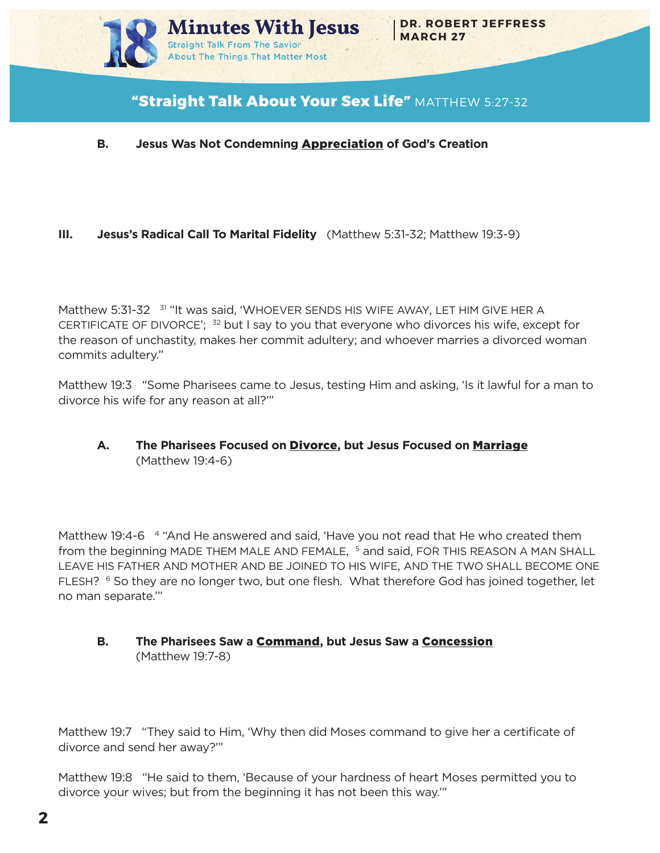

## **"Straight Talk About Your Sex Life"** MATTHEW 5:27-32

#### **B. Jesus Was Not Condemning** Appreciation **of God's Creation**

#### **III. Jesus's Radical Call To Marital Fidelity** (Matthew 5:31-32; Matthew 19:3-9)

Matthew 5:31-32 <sup>31</sup> "It was said, 'WHOEVER SENDS HIS WIFE AWAY, LET HIM GIVE HER A CERTIFICATE OF DIVORCE';  $32$  but I say to you that everyone who divorces his wife, except for the reason of unchastity, makes her commit adultery; and whoever marries a divorced woman commits adultery."

Matthew 19:3 "Some Pharisees came to Jesus, testing Him and asking, 'Is it lawful for a man to divorce his wife for any reason at all?'"

#### **A. The Pharisees Focused on** Divorce**, but Jesus Focused on** Marriage (Matthew 19:4-6)

Matthew 19:4-6 4 "And He answered and said, 'Have you not read that He who created them from the beginning MADE THEM MALE AND FEMALE, <sup>5</sup> and said, FOR THIS REASON A MAN SHALL LEAVE HIS FATHER AND MOTHER AND BE JOINED TO HIS WIFE, AND THE TWO SHALL BECOME ONE FLESH? <sup>6</sup> So they are no longer two, but one flesh. What therefore God has joined together, let no man separate.'"

#### **B. The Pharisees Saw a** Command**, but Jesus Saw a** Concession (Matthew 19:7-8)

Matthew 19:7 "They said to Him, 'Why then did Moses command to give her a certificate of divorce and send her away?'"

Matthew 19:8 "He said to them, 'Because of your hardness of heart Moses permitted you to divorce your wives; but from the beginning it has not been this way.'"